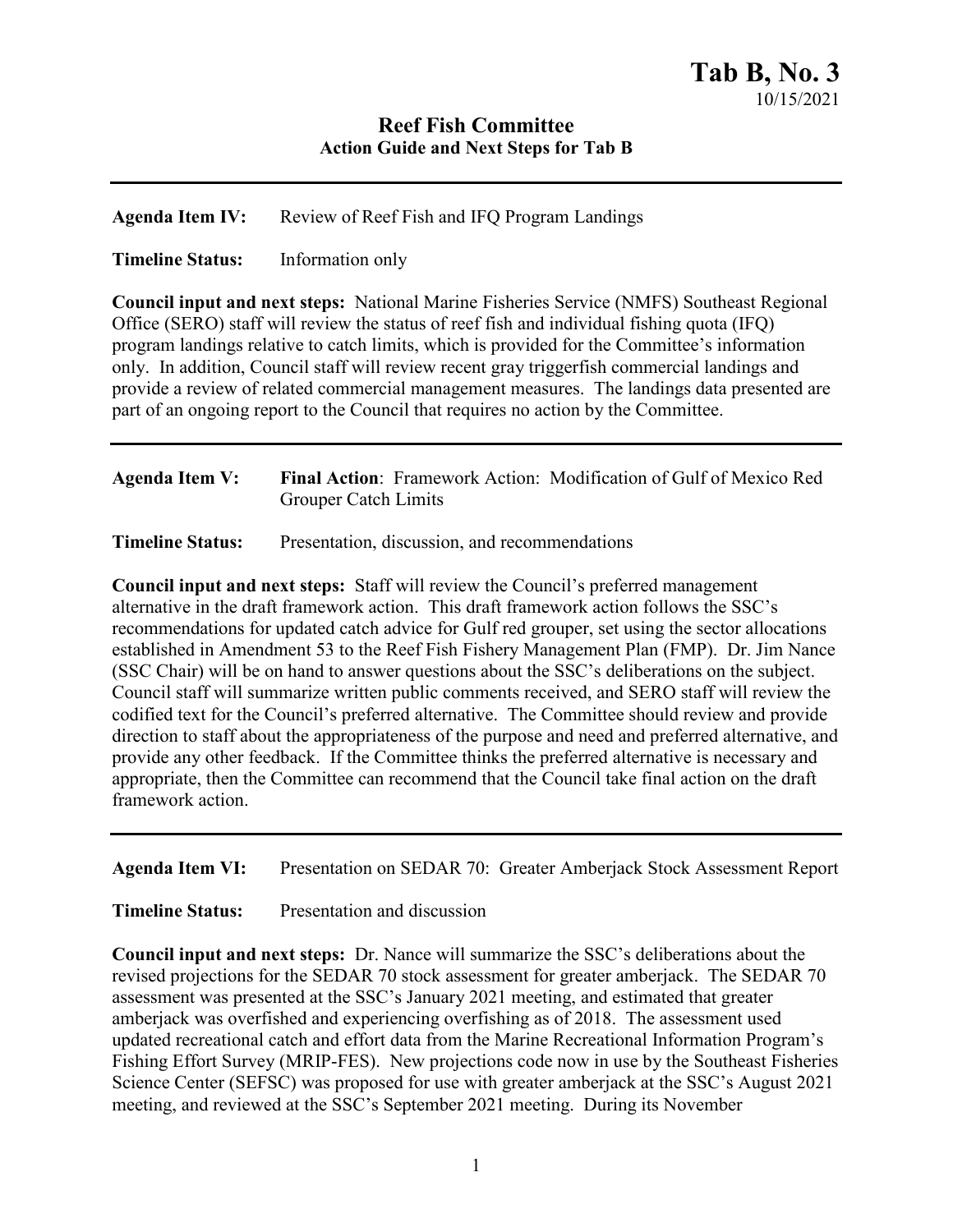## **Reef Fish Committee Action Guide and Next Steps for Tab B**

**Agenda Item IV:** Review of Reef Fish and IFQ Program Landings

**Timeline Status:** Information only

**Council input and next steps:** National Marine Fisheries Service (NMFS) Southeast Regional Office (SERO) staff will review the status of reef fish and individual fishing quota (IFQ) program landings relative to catch limits, which is provided for the Committee's information only. In addition, Council staff will review recent gray triggerfish commercial landings and provide a review of related commercial management measures. The landings data presented are part of an ongoing report to the Council that requires no action by the Committee.

## **Agenda Item V: Final Action**: Framework Action: Modification of Gulf of Mexico Red Grouper Catch Limits

**Timeline Status:** Presentation, discussion, and recommendations

**Council input and next steps:** Staff will review the Council's preferred management alternative in the draft framework action. This draft framework action follows the SSC's recommendations for updated catch advice for Gulf red grouper, set using the sector allocations established in Amendment 53 to the Reef Fish Fishery Management Plan (FMP). Dr. Jim Nance (SSC Chair) will be on hand to answer questions about the SSC's deliberations on the subject. Council staff will summarize written public comments received, and SERO staff will review the codified text for the Council's preferred alternative. The Committee should review and provide direction to staff about the appropriateness of the purpose and need and preferred alternative, and provide any other feedback. If the Committee thinks the preferred alternative is necessary and appropriate, then the Committee can recommend that the Council take final action on the draft framework action.

**Agenda Item VI:** Presentation on SEDAR 70: Greater Amberjack Stock Assessment Report

**Timeline Status:** Presentation and discussion

**Council input and next steps:** Dr. Nance will summarize the SSC's deliberations about the revised projections for the SEDAR 70 stock assessment for greater amberjack. The SEDAR 70 assessment was presented at the SSC's January 2021 meeting, and estimated that greater amberjack was overfished and experiencing overfishing as of 2018. The assessment used updated recreational catch and effort data from the Marine Recreational Information Program's Fishing Effort Survey (MRIP-FES). New projections code now in use by the Southeast Fisheries Science Center (SEFSC) was proposed for use with greater amberjack at the SSC's August 2021 meeting, and reviewed at the SSC's September 2021 meeting. During its November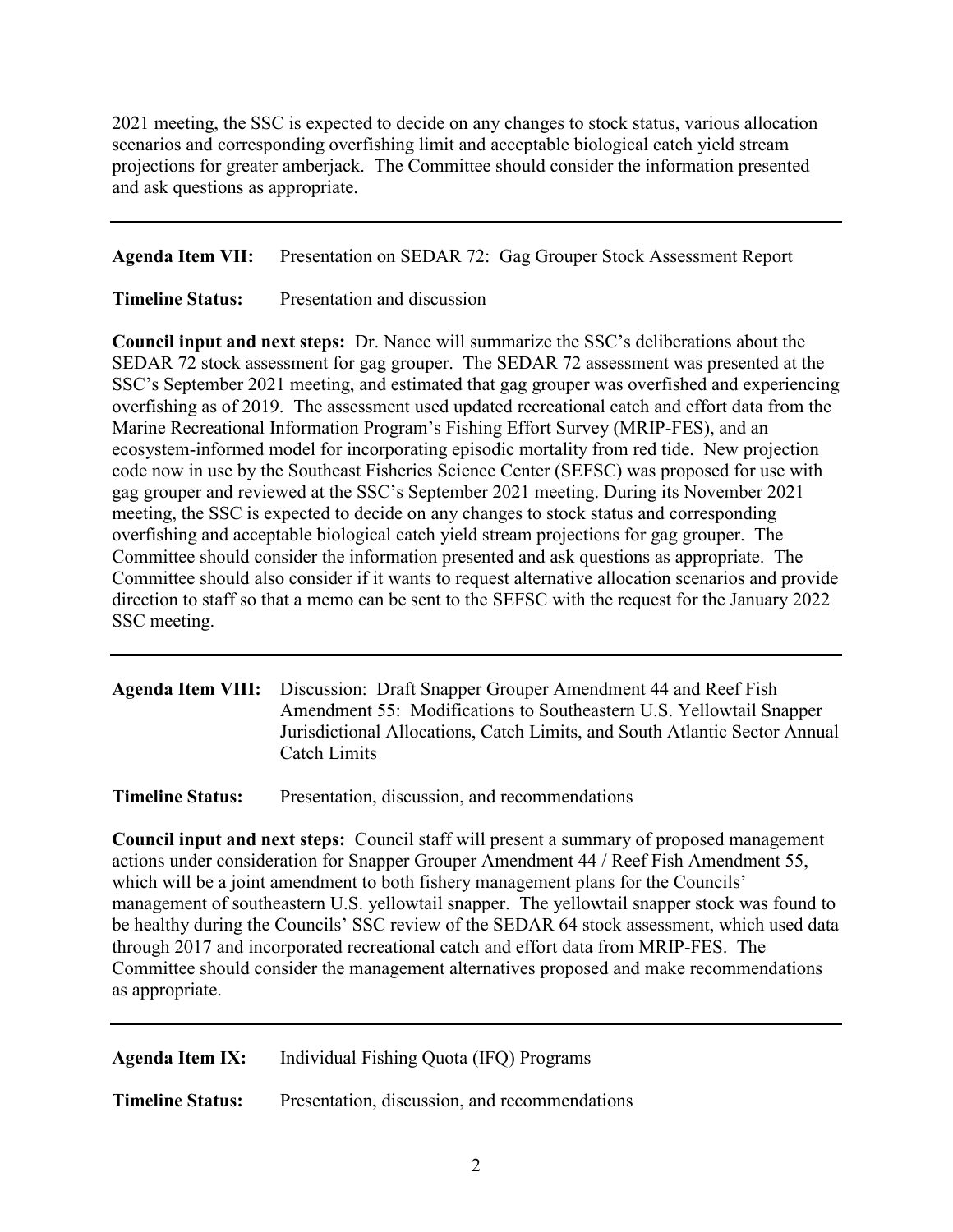2021 meeting, the SSC is expected to decide on any changes to stock status, various allocation scenarios and corresponding overfishing limit and acceptable biological catch yield stream projections for greater amberjack. The Committee should consider the information presented and ask questions as appropriate.

**Agenda Item VII:** Presentation on SEDAR 72: Gag Grouper Stock Assessment Report

**Timeline Status:** Presentation and discussion

**Council input and next steps:** Dr. Nance will summarize the SSC's deliberations about the SEDAR 72 stock assessment for gag grouper. The SEDAR 72 assessment was presented at the SSC's September 2021 meeting, and estimated that gag grouper was overfished and experiencing overfishing as of 2019. The assessment used updated recreational catch and effort data from the Marine Recreational Information Program's Fishing Effort Survey (MRIP-FES), and an ecosystem-informed model for incorporating episodic mortality from red tide. New projection code now in use by the Southeast Fisheries Science Center (SEFSC) was proposed for use with gag grouper and reviewed at the SSC's September 2021 meeting. During its November 2021 meeting, the SSC is expected to decide on any changes to stock status and corresponding overfishing and acceptable biological catch yield stream projections for gag grouper. The Committee should consider the information presented and ask questions as appropriate. The Committee should also consider if it wants to request alternative allocation scenarios and provide direction to staff so that a memo can be sent to the SEFSC with the request for the January 2022 SSC meeting.

## **Agenda Item VIII:** Discussion: Draft Snapper Grouper Amendment 44 and Reef Fish Amendment 55: Modifications to Southeastern U.S. Yellowtail Snapper Jurisdictional Allocations, Catch Limits, and South Atlantic Sector Annual Catch Limits

**Timeline Status:** Presentation, discussion, and recommendations

**Council input and next steps:** Council staff will present a summary of proposed management actions under consideration for Snapper Grouper Amendment 44 / Reef Fish Amendment 55, which will be a joint amendment to both fishery management plans for the Councils' management of southeastern U.S. yellowtail snapper. The yellowtail snapper stock was found to be healthy during the Councils' SSC review of the SEDAR 64 stock assessment, which used data through 2017 and incorporated recreational catch and effort data from MRIP-FES. The Committee should consider the management alternatives proposed and make recommendations as appropriate.

**Agenda Item IX:** Individual Fishing Quota (IFQ) Programs

**Timeline Status:** Presentation, discussion, and recommendations